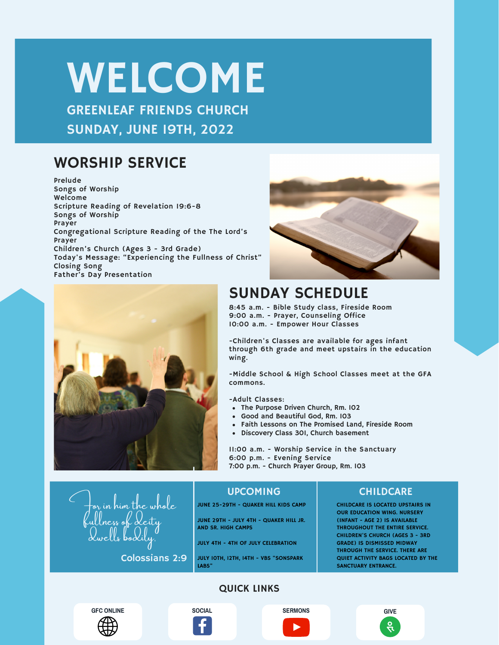# WELCOME

GREENLEAF FRIENDS CHURCH SUNDAY, JUNE 19TH, 2022

### WORSHIP SERVICE

Prelude Songs of Worship Welcome Scripture Reading of Revelation 19:6-8 Songs of Worship Prayer Congregational Scripture Reading of the The Lord's Prayer Children's Church (Ages 3 - 3rd Grade) Today's Message: "Experiencing the Fullness of Christ" Closing Song Father's Day Presentation





### SUNDAY SCHEDULE

8:45 a.m. - Bible Study class, Fireside Room 9:00 a.m. - Prayer, Counseling Office 10:00 a.m. - Empower Hour Classes

-Children's Classes are available for ages infant through 6th grade and meet upstairs in the education wing.

-Middle School & High School Classes meet at the GFA commons.

-Adult Classes:

- The Purpose Driven Church, Rm. 102
- Good and Beautiful God, Rm. 103
- Faith Lessons on The Promised Land, Fireside Room
- Discovery Class 301, Church basement

11:00 a.m. - Worship Service in the Sanctuary 6:00 p.m. - Evening Service 7:00 p.m. - Church Prayer Group, Rm. 103

 $\tau$ or in him the w ness ok dwells bodily,

Colossians 2:9

### UPCOMING CHILDCARE

JUNE 25-29TH - QUAKER HILL KIDS CAMP

JUNE 29TH - JULY 4TH - QUAKER HILL JR. AND SR. HIGH CAMPS

JULY 4TH - 4TH OF JULY CELEBRATION

JULY 10TH, 12TH, 14TH - VBS "SONSPARK LABS"

CHILDCARE IS LOCATED UPSTAIRS IN OUR EDUCATION WING. NURSERY (INFANT - AGE 2) IS AVAILABLE THROUGHOUT THE ENTIRE SERVICE. CHILDREN'S CHURCH (AGES 3 - 3RD GRADE) IS DISMISSED MIDWAY THROUGH THE SERVICE. THERE ARE QUIET ACTIVITY BAGS LOCATED BY THE SANCTUARY ENTRANCE.